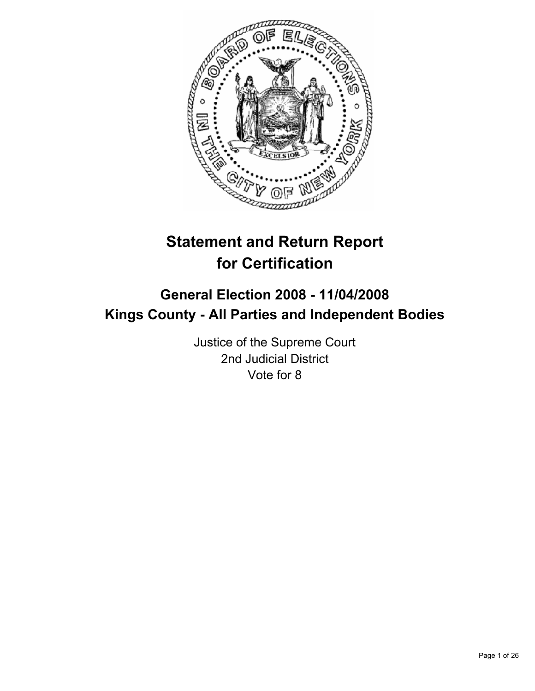

# **Statement and Return Report for Certification**

## **General Election 2008 - 11/04/2008 Kings County - All Parties and Independent Bodies**

Justice of the Supreme Court 2nd Judicial District Vote for 8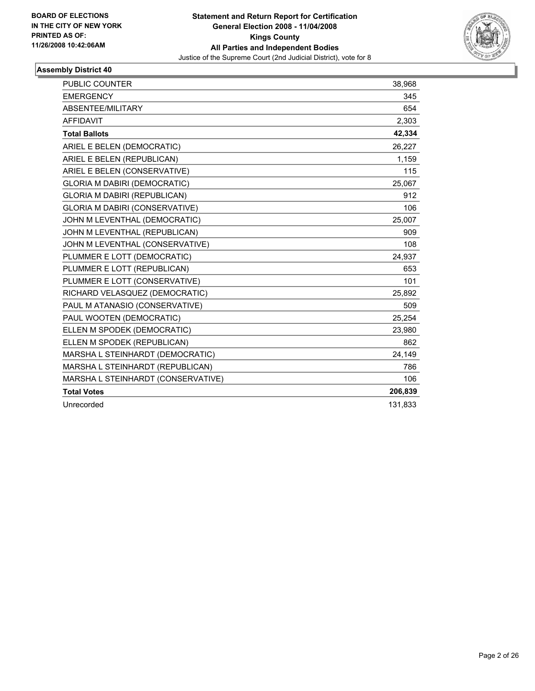

| PUBLIC COUNTER                        | 38,968  |
|---------------------------------------|---------|
| <b>EMERGENCY</b>                      | 345     |
| ABSENTEE/MILITARY                     | 654     |
| <b>AFFIDAVIT</b>                      | 2,303   |
| <b>Total Ballots</b>                  | 42,334  |
| ARIEL E BELEN (DEMOCRATIC)            | 26,227  |
| ARIEL E BELEN (REPUBLICAN)            | 1,159   |
| ARIEL E BELEN (CONSERVATIVE)          | 115     |
| <b>GLORIA M DABIRI (DEMOCRATIC)</b>   | 25,067  |
| GLORIA M DABIRI (REPUBLICAN)          | 912     |
| <b>GLORIA M DABIRI (CONSERVATIVE)</b> | 106     |
| JOHN M LEVENTHAL (DEMOCRATIC)         | 25,007  |
| JOHN M LEVENTHAL (REPUBLICAN)         | 909     |
| JOHN M LEVENTHAL (CONSERVATIVE)       | 108     |
| PLUMMER E LOTT (DEMOCRATIC)           | 24,937  |
| PLUMMER E LOTT (REPUBLICAN)           | 653     |
| PLUMMER E LOTT (CONSERVATIVE)         | 101     |
| RICHARD VELASQUEZ (DEMOCRATIC)        | 25,892  |
| PAUL M ATANASIO (CONSERVATIVE)        | 509     |
| PAUL WOOTEN (DEMOCRATIC)              | 25,254  |
| ELLEN M SPODEK (DEMOCRATIC)           | 23,980  |
| ELLEN M SPODEK (REPUBLICAN)           | 862     |
| MARSHA L STEINHARDT (DEMOCRATIC)      | 24,149  |
| MARSHA L STEINHARDT (REPUBLICAN)      | 786     |
| MARSHA L STEINHARDT (CONSERVATIVE)    | 106     |
| <b>Total Votes</b>                    | 206,839 |
| Unrecorded                            | 131,833 |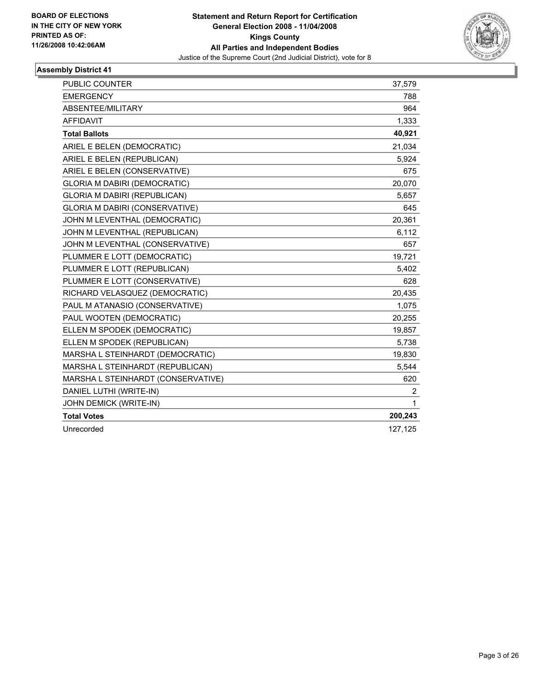

| PUBLIC COUNTER                        | 37,579         |
|---------------------------------------|----------------|
| <b>EMERGENCY</b>                      | 788            |
| ABSENTEE/MILITARY                     | 964            |
| <b>AFFIDAVIT</b>                      | 1,333          |
| <b>Total Ballots</b>                  | 40,921         |
| ARIEL E BELEN (DEMOCRATIC)            | 21,034         |
| ARIEL E BELEN (REPUBLICAN)            | 5,924          |
| ARIEL E BELEN (CONSERVATIVE)          | 675            |
| <b>GLORIA M DABIRI (DEMOCRATIC)</b>   | 20,070         |
| GLORIA M DABIRI (REPUBLICAN)          | 5,657          |
| <b>GLORIA M DABIRI (CONSERVATIVE)</b> | 645            |
| JOHN M LEVENTHAL (DEMOCRATIC)         | 20,361         |
| JOHN M LEVENTHAL (REPUBLICAN)         | 6,112          |
| JOHN M LEVENTHAL (CONSERVATIVE)       | 657            |
| PLUMMER E LOTT (DEMOCRATIC)           | 19,721         |
| PLUMMER E LOTT (REPUBLICAN)           | 5,402          |
| PLUMMER E LOTT (CONSERVATIVE)         | 628            |
| RICHARD VELASQUEZ (DEMOCRATIC)        | 20,435         |
| PAUL M ATANASIO (CONSERVATIVE)        | 1,075          |
| PAUL WOOTEN (DEMOCRATIC)              | 20,255         |
| ELLEN M SPODEK (DEMOCRATIC)           | 19,857         |
| ELLEN M SPODEK (REPUBLICAN)           | 5,738          |
| MARSHA L STEINHARDT (DEMOCRATIC)      | 19,830         |
| MARSHA L STEINHARDT (REPUBLICAN)      | 5,544          |
| MARSHA L STEINHARDT (CONSERVATIVE)    | 620            |
| DANIEL LUTHI (WRITE-IN)               | $\overline{2}$ |
| JOHN DEMICK (WRITE-IN)                | $\mathbf 1$    |
| <b>Total Votes</b>                    | 200,243        |
| Unrecorded                            | 127,125        |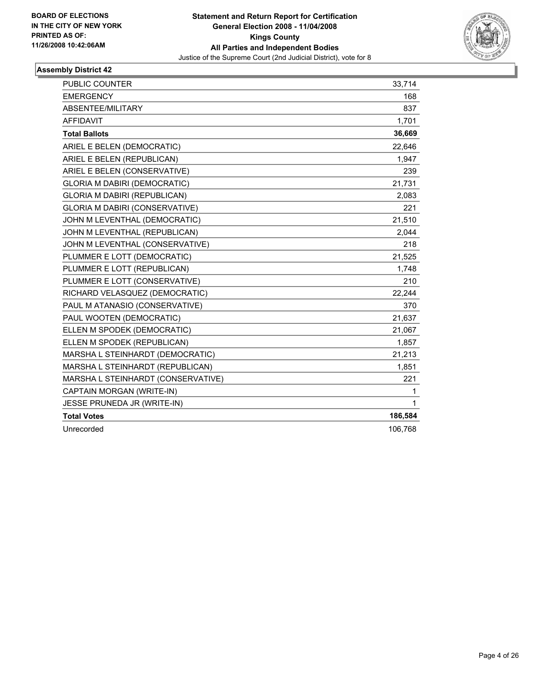

| PUBLIC COUNTER                        | 33,714      |
|---------------------------------------|-------------|
| <b>EMERGENCY</b>                      | 168         |
| ABSENTEE/MILITARY                     | 837         |
| <b>AFFIDAVIT</b>                      | 1,701       |
| <b>Total Ballots</b>                  | 36,669      |
| ARIEL E BELEN (DEMOCRATIC)            | 22.646      |
| ARIEL E BELEN (REPUBLICAN)            | 1,947       |
| ARIEL E BELEN (CONSERVATIVE)          | 239         |
| <b>GLORIA M DABIRI (DEMOCRATIC)</b>   | 21,731      |
| <b>GLORIA M DABIRI (REPUBLICAN)</b>   | 2,083       |
| <b>GLORIA M DABIRI (CONSERVATIVE)</b> | 221         |
| JOHN M LEVENTHAL (DEMOCRATIC)         | 21,510      |
| JOHN M LEVENTHAL (REPUBLICAN)         | 2,044       |
| JOHN M LEVENTHAL (CONSERVATIVE)       | 218         |
| PLUMMER E LOTT (DEMOCRATIC)           | 21,525      |
| PLUMMER E LOTT (REPUBLICAN)           | 1,748       |
| PLUMMER E LOTT (CONSERVATIVE)         | 210         |
| RICHARD VELASQUEZ (DEMOCRATIC)        | 22,244      |
| PAUL M ATANASIO (CONSERVATIVE)        | 370         |
| PAUL WOOTEN (DEMOCRATIC)              | 21,637      |
| ELLEN M SPODEK (DEMOCRATIC)           | 21,067      |
| ELLEN M SPODEK (REPUBLICAN)           | 1,857       |
| MARSHA L STEINHARDT (DEMOCRATIC)      | 21,213      |
| MARSHA L STEINHARDT (REPUBLICAN)      | 1,851       |
| MARSHA L STEINHARDT (CONSERVATIVE)    | 221         |
| CAPTAIN MORGAN (WRITE-IN)             | 1.          |
| <b>JESSE PRUNEDA JR (WRITE-IN)</b>    | $\mathbf 1$ |
| <b>Total Votes</b>                    | 186,584     |
| Unrecorded                            | 106,768     |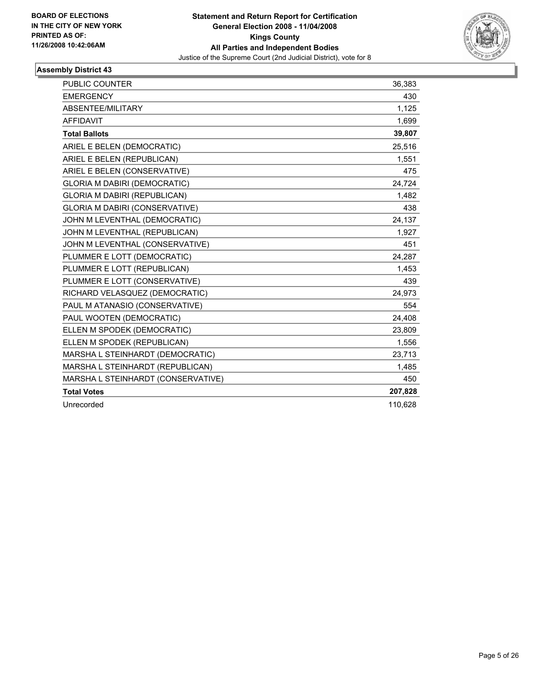

| PUBLIC COUNTER                        | 36,383  |
|---------------------------------------|---------|
| <b>EMERGENCY</b>                      | 430     |
| ABSENTEE/MILITARY                     | 1,125   |
| <b>AFFIDAVIT</b>                      | 1,699   |
| <b>Total Ballots</b>                  | 39,807  |
| ARIEL E BELEN (DEMOCRATIC)            | 25,516  |
| ARIEL E BELEN (REPUBLICAN)            | 1,551   |
| ARIEL E BELEN (CONSERVATIVE)          | 475     |
| <b>GLORIA M DABIRI (DEMOCRATIC)</b>   | 24,724  |
| <b>GLORIA M DABIRI (REPUBLICAN)</b>   | 1,482   |
| <b>GLORIA M DABIRI (CONSERVATIVE)</b> | 438     |
| JOHN M LEVENTHAL (DEMOCRATIC)         | 24,137  |
| JOHN M LEVENTHAL (REPUBLICAN)         | 1,927   |
| JOHN M LEVENTHAL (CONSERVATIVE)       | 451     |
| PLUMMER E LOTT (DEMOCRATIC)           | 24,287  |
| PLUMMER E LOTT (REPUBLICAN)           | 1,453   |
| PLUMMER E LOTT (CONSERVATIVE)         | 439     |
| RICHARD VELASQUEZ (DEMOCRATIC)        | 24,973  |
| PAUL M ATANASIO (CONSERVATIVE)        | 554     |
| PAUL WOOTEN (DEMOCRATIC)              | 24,408  |
| ELLEN M SPODEK (DEMOCRATIC)           | 23,809  |
| ELLEN M SPODEK (REPUBLICAN)           | 1,556   |
| MARSHA L STEINHARDT (DEMOCRATIC)      | 23,713  |
| MARSHA L STEINHARDT (REPUBLICAN)      | 1,485   |
| MARSHA L STEINHARDT (CONSERVATIVE)    | 450     |
| <b>Total Votes</b>                    | 207,828 |
| Unrecorded                            | 110,628 |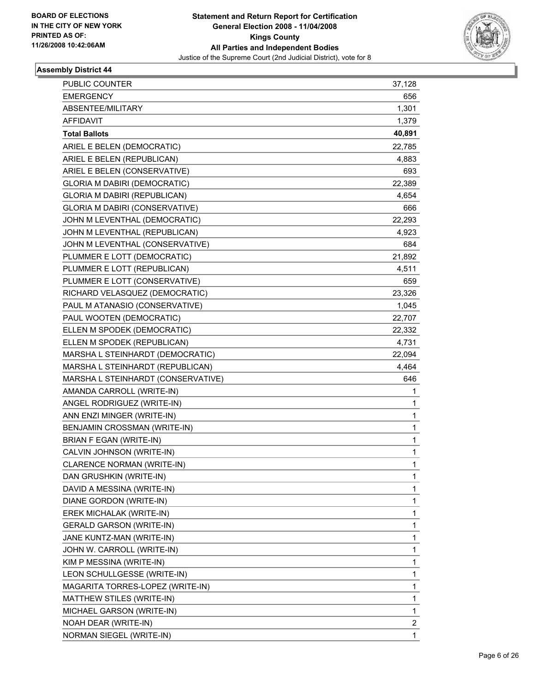

| PUBLIC COUNTER                        | 37,128       |
|---------------------------------------|--------------|
| <b>EMERGENCY</b>                      | 656          |
| ABSENTEE/MILITARY                     | 1,301        |
| <b>AFFIDAVIT</b>                      | 1,379        |
| <b>Total Ballots</b>                  | 40,891       |
| ARIEL E BELEN (DEMOCRATIC)            | 22,785       |
| ARIEL E BELEN (REPUBLICAN)            | 4,883        |
| ARIEL E BELEN (CONSERVATIVE)          | 693          |
| <b>GLORIA M DABIRI (DEMOCRATIC)</b>   | 22,389       |
| GLORIA M DABIRI (REPUBLICAN)          | 4,654        |
| <b>GLORIA M DABIRI (CONSERVATIVE)</b> | 666          |
| JOHN M LEVENTHAL (DEMOCRATIC)         | 22,293       |
| JOHN M LEVENTHAL (REPUBLICAN)         | 4,923        |
| JOHN M LEVENTHAL (CONSERVATIVE)       | 684          |
| PLUMMER E LOTT (DEMOCRATIC)           | 21,892       |
| PLUMMER E LOTT (REPUBLICAN)           | 4,511        |
| PLUMMER E LOTT (CONSERVATIVE)         | 659          |
| RICHARD VELASQUEZ (DEMOCRATIC)        | 23,326       |
| PAUL M ATANASIO (CONSERVATIVE)        | 1,045        |
| PAUL WOOTEN (DEMOCRATIC)              | 22,707       |
| ELLEN M SPODEK (DEMOCRATIC)           | 22,332       |
| ELLEN M SPODEK (REPUBLICAN)           | 4,731        |
| MARSHA L STEINHARDT (DEMOCRATIC)      | 22,094       |
| MARSHA L STEINHARDT (REPUBLICAN)      | 4,464        |
| MARSHA L STEINHARDT (CONSERVATIVE)    | 646          |
| AMANDA CARROLL (WRITE-IN)             | 1            |
| ANGEL RODRIGUEZ (WRITE-IN)            | 1            |
| ANN ENZI MINGER (WRITE-IN)            | $\mathbf{1}$ |
| BENJAMIN CROSSMAN (WRITE-IN)          | 1            |
| <b>BRIAN F EGAN (WRITE-IN)</b>        | 1            |
| CALVIN JOHNSON (WRITE-IN)             | 1            |
| CLARENCE NORMAN (WRITE-IN)            | 1            |
| DAN GRUSHKIN (WRITE-IN)               | 1            |
| DAVID A MESSINA (WRITE-IN)            | 1            |
| DIANE GORDON (WRITE-IN)               | 1            |
| EREK MICHALAK (WRITE-IN)              | 1            |
| <b>GERALD GARSON (WRITE-IN)</b>       | 1            |
| JANE KUNTZ-MAN (WRITE-IN)             | 1            |
| JOHN W. CARROLL (WRITE-IN)            | 1            |
| KIM P MESSINA (WRITE-IN)              | 1            |
| LEON SCHULLGESSE (WRITE-IN)           | 1            |
| MAGARITA TORRES-LOPEZ (WRITE-IN)      | 1            |
| MATTHEW STILES (WRITE-IN)             | 1            |
| MICHAEL GARSON (WRITE-IN)             | 1            |
| NOAH DEAR (WRITE-IN)                  | 2            |
| NORMAN SIEGEL (WRITE-IN)              | 1            |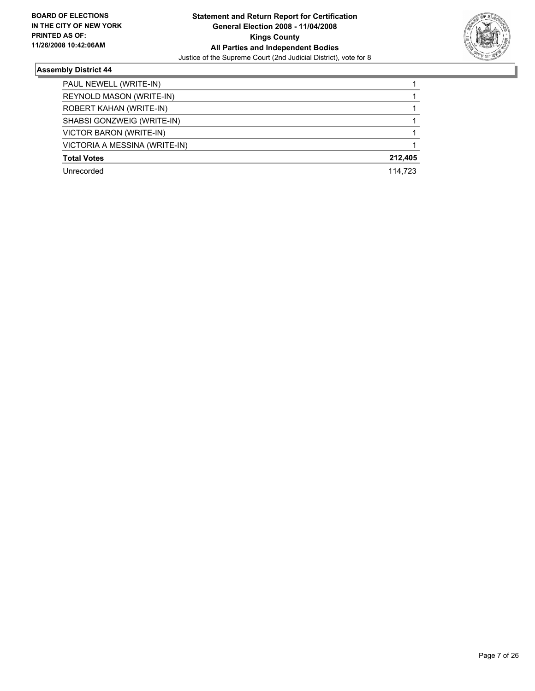

| PAUL NEWELL (WRITE-IN)        |         |
|-------------------------------|---------|
| REYNOLD MASON (WRITE-IN)      |         |
| ROBERT KAHAN (WRITE-IN)       |         |
| SHABSI GONZWEIG (WRITE-IN)    |         |
| VICTOR BARON (WRITE-IN)       |         |
| VICTORIA A MESSINA (WRITE-IN) |         |
| <b>Total Votes</b>            | 212,405 |
| Unrecorded                    | 114.723 |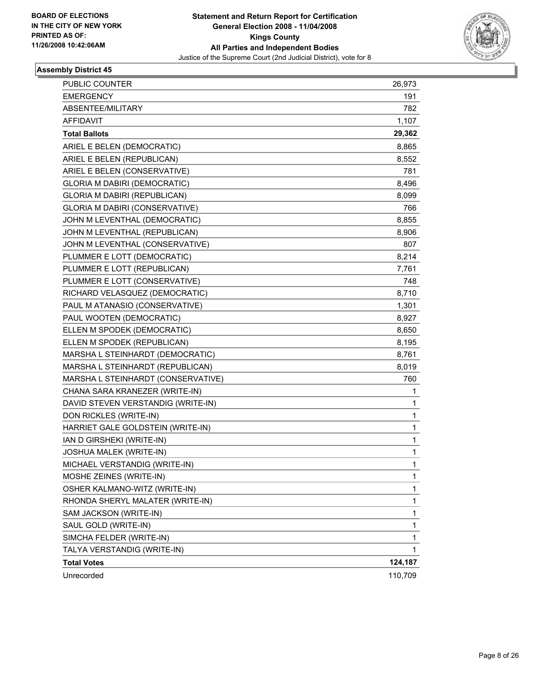

| 191<br>782<br>1,107<br>29,362<br><b>Total Ballots</b><br>8,865<br>8,552<br>781<br><b>GLORIA M DABIRI (DEMOCRATIC)</b><br>8,496<br>8,099<br>766<br>8,855<br>8,906<br>JOHN M LEVENTHAL (CONSERVATIVE)<br>807<br>8,214<br>7,761<br>748<br>8,710<br>1,301<br>8,927<br>8,650<br>8,195<br>8,761<br>8,019<br>760<br>1<br>1<br>1<br>1<br>1<br>1<br>1<br>1<br>1<br>1<br>1<br>SAM JACKSON (WRITE-IN)<br>1<br>1<br>SIMCHA FELDER (WRITE-IN)<br>TALYA VERSTANDIG (WRITE-IN)<br>1<br>124,187 | PUBLIC COUNTER                      | 26,973 |
|---------------------------------------------------------------------------------------------------------------------------------------------------------------------------------------------------------------------------------------------------------------------------------------------------------------------------------------------------------------------------------------------------------------------------------------------------------------------------------|-------------------------------------|--------|
|                                                                                                                                                                                                                                                                                                                                                                                                                                                                                 | <b>EMERGENCY</b>                    |        |
|                                                                                                                                                                                                                                                                                                                                                                                                                                                                                 | ABSENTEE/MILITARY                   |        |
|                                                                                                                                                                                                                                                                                                                                                                                                                                                                                 | <b>AFFIDAVIT</b>                    |        |
|                                                                                                                                                                                                                                                                                                                                                                                                                                                                                 |                                     |        |
|                                                                                                                                                                                                                                                                                                                                                                                                                                                                                 | ARIEL E BELEN (DEMOCRATIC)          |        |
|                                                                                                                                                                                                                                                                                                                                                                                                                                                                                 | ARIEL E BELEN (REPUBLICAN)          |        |
|                                                                                                                                                                                                                                                                                                                                                                                                                                                                                 | ARIEL E BELEN (CONSERVATIVE)        |        |
|                                                                                                                                                                                                                                                                                                                                                                                                                                                                                 |                                     |        |
|                                                                                                                                                                                                                                                                                                                                                                                                                                                                                 | <b>GLORIA M DABIRI (REPUBLICAN)</b> |        |
|                                                                                                                                                                                                                                                                                                                                                                                                                                                                                 | GLORIA M DABIRI (CONSERVATIVE)      |        |
|                                                                                                                                                                                                                                                                                                                                                                                                                                                                                 | JOHN M LEVENTHAL (DEMOCRATIC)       |        |
|                                                                                                                                                                                                                                                                                                                                                                                                                                                                                 | JOHN M LEVENTHAL (REPUBLICAN)       |        |
|                                                                                                                                                                                                                                                                                                                                                                                                                                                                                 |                                     |        |
|                                                                                                                                                                                                                                                                                                                                                                                                                                                                                 | PLUMMER E LOTT (DEMOCRATIC)         |        |
|                                                                                                                                                                                                                                                                                                                                                                                                                                                                                 | PLUMMER E LOTT (REPUBLICAN)         |        |
|                                                                                                                                                                                                                                                                                                                                                                                                                                                                                 | PLUMMER E LOTT (CONSERVATIVE)       |        |
|                                                                                                                                                                                                                                                                                                                                                                                                                                                                                 | RICHARD VELASQUEZ (DEMOCRATIC)      |        |
|                                                                                                                                                                                                                                                                                                                                                                                                                                                                                 | PAUL M ATANASIO (CONSERVATIVE)      |        |
|                                                                                                                                                                                                                                                                                                                                                                                                                                                                                 | PAUL WOOTEN (DEMOCRATIC)            |        |
|                                                                                                                                                                                                                                                                                                                                                                                                                                                                                 | ELLEN M SPODEK (DEMOCRATIC)         |        |
|                                                                                                                                                                                                                                                                                                                                                                                                                                                                                 | ELLEN M SPODEK (REPUBLICAN)         |        |
|                                                                                                                                                                                                                                                                                                                                                                                                                                                                                 | MARSHA L STEINHARDT (DEMOCRATIC)    |        |
|                                                                                                                                                                                                                                                                                                                                                                                                                                                                                 | MARSHA L STEINHARDT (REPUBLICAN)    |        |
|                                                                                                                                                                                                                                                                                                                                                                                                                                                                                 | MARSHA L STEINHARDT (CONSERVATIVE)  |        |
|                                                                                                                                                                                                                                                                                                                                                                                                                                                                                 | CHANA SARA KRANEZER (WRITE-IN)      |        |
|                                                                                                                                                                                                                                                                                                                                                                                                                                                                                 | DAVID STEVEN VERSTANDIG (WRITE-IN)  |        |
|                                                                                                                                                                                                                                                                                                                                                                                                                                                                                 | DON RICKLES (WRITE-IN)              |        |
|                                                                                                                                                                                                                                                                                                                                                                                                                                                                                 | HARRIET GALE GOLDSTEIN (WRITE-IN)   |        |
|                                                                                                                                                                                                                                                                                                                                                                                                                                                                                 | IAN D GIRSHEKI (WRITE-IN)           |        |
|                                                                                                                                                                                                                                                                                                                                                                                                                                                                                 | <b>JOSHUA MALEK (WRITE-IN)</b>      |        |
|                                                                                                                                                                                                                                                                                                                                                                                                                                                                                 | MICHAEL VERSTANDIG (WRITE-IN)       |        |
|                                                                                                                                                                                                                                                                                                                                                                                                                                                                                 | MOSHE ZEINES (WRITE-IN)             |        |
|                                                                                                                                                                                                                                                                                                                                                                                                                                                                                 | OSHER KALMANO-WITZ (WRITE-IN)       |        |
|                                                                                                                                                                                                                                                                                                                                                                                                                                                                                 | RHONDA SHERYL MALATER (WRITE-IN)    |        |
|                                                                                                                                                                                                                                                                                                                                                                                                                                                                                 |                                     |        |
|                                                                                                                                                                                                                                                                                                                                                                                                                                                                                 | SAUL GOLD (WRITE-IN)                |        |
|                                                                                                                                                                                                                                                                                                                                                                                                                                                                                 |                                     |        |
|                                                                                                                                                                                                                                                                                                                                                                                                                                                                                 |                                     |        |
|                                                                                                                                                                                                                                                                                                                                                                                                                                                                                 | <b>Total Votes</b>                  |        |
| 110,709                                                                                                                                                                                                                                                                                                                                                                                                                                                                         | Unrecorded                          |        |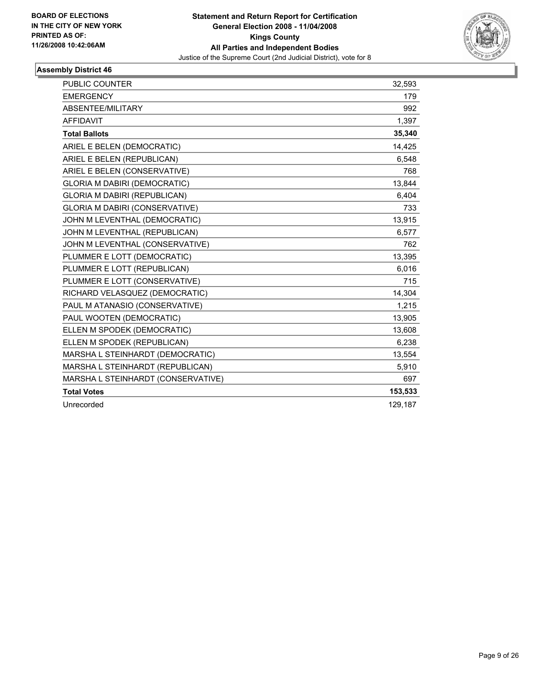

| <b>PUBLIC COUNTER</b>                 | 32,593  |
|---------------------------------------|---------|
| <b>EMERGENCY</b>                      | 179     |
| ABSENTEE/MILITARY                     | 992     |
| <b>AFFIDAVIT</b>                      | 1,397   |
| <b>Total Ballots</b>                  | 35,340  |
| ARIEL E BELEN (DEMOCRATIC)            | 14,425  |
| ARIEL E BELEN (REPUBLICAN)            | 6,548   |
| ARIEL E BELEN (CONSERVATIVE)          | 768     |
| <b>GLORIA M DABIRI (DEMOCRATIC)</b>   | 13,844  |
| <b>GLORIA M DABIRI (REPUBLICAN)</b>   | 6,404   |
| <b>GLORIA M DABIRI (CONSERVATIVE)</b> | 733     |
| JOHN M LEVENTHAL (DEMOCRATIC)         | 13,915  |
| JOHN M LEVENTHAL (REPUBLICAN)         | 6,577   |
| JOHN M LEVENTHAL (CONSERVATIVE)       | 762     |
| PLUMMER E LOTT (DEMOCRATIC)           | 13,395  |
| PLUMMER E LOTT (REPUBLICAN)           | 6,016   |
| PLUMMER E LOTT (CONSERVATIVE)         | 715     |
| RICHARD VELASQUEZ (DEMOCRATIC)        | 14,304  |
| PAUL M ATANASIO (CONSERVATIVE)        | 1,215   |
| PAUL WOOTEN (DEMOCRATIC)              | 13,905  |
| ELLEN M SPODEK (DEMOCRATIC)           | 13,608  |
| ELLEN M SPODEK (REPUBLICAN)           | 6,238   |
| MARSHA L STEINHARDT (DEMOCRATIC)      | 13,554  |
| MARSHA L STEINHARDT (REPUBLICAN)      | 5,910   |
| MARSHA L STEINHARDT (CONSERVATIVE)    | 697     |
| <b>Total Votes</b>                    | 153,533 |
| Unrecorded                            | 129,187 |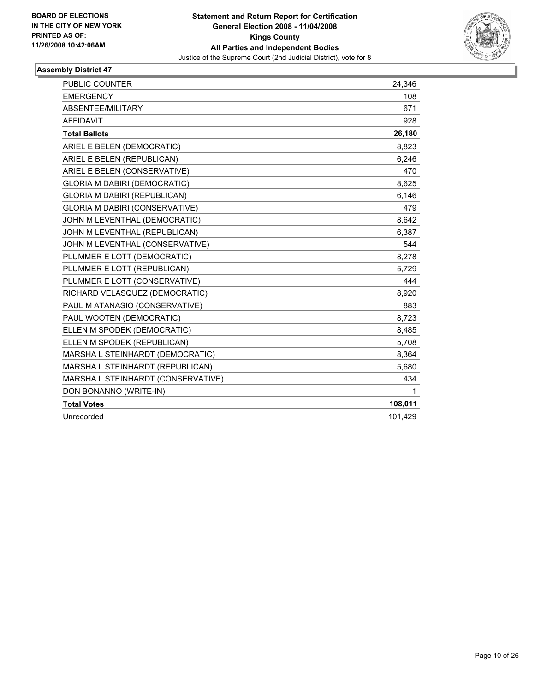

| <b>PUBLIC COUNTER</b>                 | 24,346  |
|---------------------------------------|---------|
| <b>EMERGENCY</b>                      | 108     |
| ABSENTEE/MILITARY                     | 671     |
| <b>AFFIDAVIT</b>                      | 928     |
| <b>Total Ballots</b>                  | 26,180  |
| ARIEL E BELEN (DEMOCRATIC)            | 8,823   |
| ARIEL E BELEN (REPUBLICAN)            | 6,246   |
| ARIEL E BELEN (CONSERVATIVE)          | 470     |
| <b>GLORIA M DABIRI (DEMOCRATIC)</b>   | 8,625   |
| <b>GLORIA M DABIRI (REPUBLICAN)</b>   | 6,146   |
| <b>GLORIA M DABIRI (CONSERVATIVE)</b> | 479     |
| JOHN M LEVENTHAL (DEMOCRATIC)         | 8,642   |
| JOHN M LEVENTHAL (REPUBLICAN)         | 6,387   |
| JOHN M LEVENTHAL (CONSERVATIVE)       | 544     |
| PLUMMER E LOTT (DEMOCRATIC)           | 8,278   |
| PLUMMER E LOTT (REPUBLICAN)           | 5,729   |
| PLUMMER E LOTT (CONSERVATIVE)         | 444     |
| RICHARD VELASQUEZ (DEMOCRATIC)        | 8,920   |
| PAUL M ATANASIO (CONSERVATIVE)        | 883     |
| PAUL WOOTEN (DEMOCRATIC)              | 8,723   |
| ELLEN M SPODEK (DEMOCRATIC)           | 8,485   |
| ELLEN M SPODEK (REPUBLICAN)           | 5,708   |
| MARSHA L STEINHARDT (DEMOCRATIC)      | 8,364   |
| MARSHA L STEINHARDT (REPUBLICAN)      | 5,680   |
| MARSHA L STEINHARDT (CONSERVATIVE)    | 434     |
| DON BONANNO (WRITE-IN)                | 1       |
| <b>Total Votes</b>                    | 108,011 |
| Unrecorded                            | 101,429 |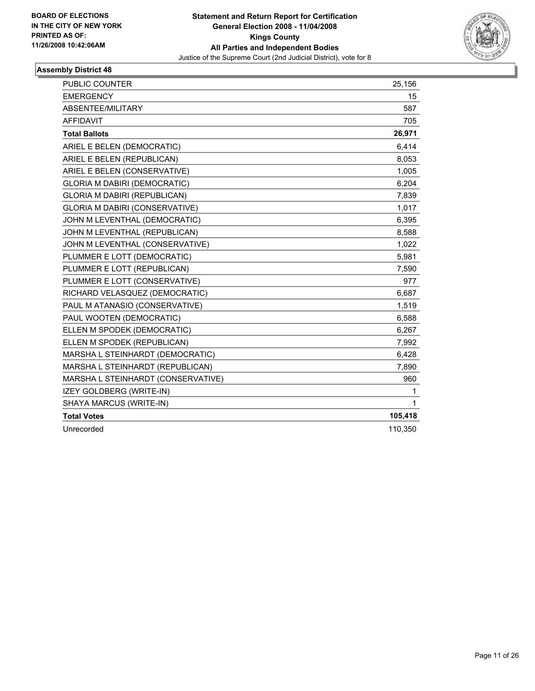

| PUBLIC COUNTER                        | 25,156  |
|---------------------------------------|---------|
| <b>EMERGENCY</b>                      | 15      |
| ABSENTEE/MILITARY                     | 587     |
| <b>AFFIDAVIT</b>                      | 705     |
| <b>Total Ballots</b>                  | 26,971  |
| ARIEL E BELEN (DEMOCRATIC)            | 6,414   |
| ARIEL E BELEN (REPUBLICAN)            | 8,053   |
| ARIEL E BELEN (CONSERVATIVE)          | 1,005   |
| <b>GLORIA M DABIRI (DEMOCRATIC)</b>   | 6,204   |
| GLORIA M DABIRI (REPUBLICAN)          | 7,839   |
| <b>GLORIA M DABIRI (CONSERVATIVE)</b> | 1,017   |
| JOHN M LEVENTHAL (DEMOCRATIC)         | 6,395   |
| JOHN M LEVENTHAL (REPUBLICAN)         | 8,588   |
| JOHN M LEVENTHAL (CONSERVATIVE)       | 1,022   |
| PLUMMER E LOTT (DEMOCRATIC)           | 5,981   |
| PLUMMER E LOTT (REPUBLICAN)           | 7,590   |
| PLUMMER E LOTT (CONSERVATIVE)         | 977     |
| RICHARD VELASQUEZ (DEMOCRATIC)        | 6,687   |
| PAUL M ATANASIO (CONSERVATIVE)        | 1,519   |
| PAUL WOOTEN (DEMOCRATIC)              | 6,588   |
| ELLEN M SPODEK (DEMOCRATIC)           | 6,267   |
| ELLEN M SPODEK (REPUBLICAN)           | 7,992   |
| MARSHA L STEINHARDT (DEMOCRATIC)      | 6,428   |
| MARSHA L STEINHARDT (REPUBLICAN)      | 7,890   |
| MARSHA L STEINHARDT (CONSERVATIVE)    | 960     |
| IZEY GOLDBERG (WRITE-IN)              | 1       |
| SHAYA MARCUS (WRITE-IN)               | 1       |
| <b>Total Votes</b>                    | 105,418 |
| Unrecorded                            | 110,350 |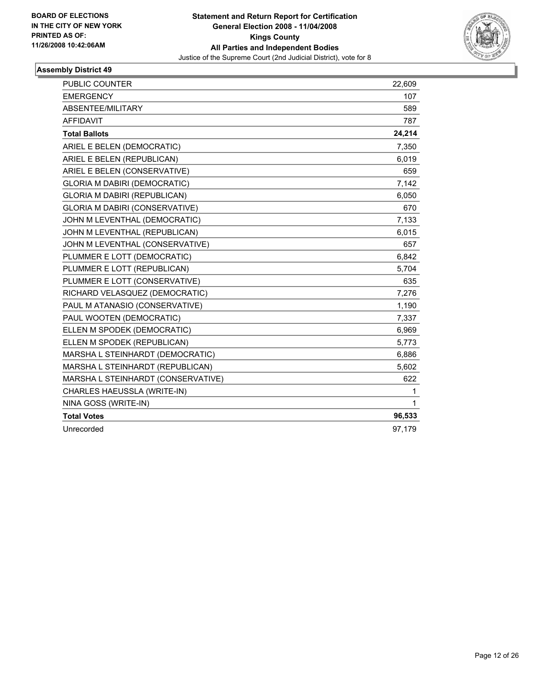

| <b>PUBLIC COUNTER</b>                 | 22,609 |
|---------------------------------------|--------|
| <b>EMERGENCY</b>                      | 107    |
| ABSENTEE/MILITARY                     | 589    |
| <b>AFFIDAVIT</b>                      | 787    |
| <b>Total Ballots</b>                  | 24,214 |
| ARIEL E BELEN (DEMOCRATIC)            | 7,350  |
| ARIEL E BELEN (REPUBLICAN)            | 6,019  |
| ARIEL E BELEN (CONSERVATIVE)          | 659    |
| <b>GLORIA M DABIRI (DEMOCRATIC)</b>   | 7,142  |
| GLORIA M DABIRI (REPUBLICAN)          | 6,050  |
| <b>GLORIA M DABIRI (CONSERVATIVE)</b> | 670    |
| JOHN M LEVENTHAL (DEMOCRATIC)         | 7,133  |
| JOHN M LEVENTHAL (REPUBLICAN)         | 6,015  |
| JOHN M LEVENTHAL (CONSERVATIVE)       | 657    |
| PLUMMER E LOTT (DEMOCRATIC)           | 6,842  |
| PLUMMER E LOTT (REPUBLICAN)           | 5,704  |
| PLUMMER E LOTT (CONSERVATIVE)         | 635    |
| RICHARD VELASQUEZ (DEMOCRATIC)        | 7,276  |
| PAUL M ATANASIO (CONSERVATIVE)        | 1,190  |
| PAUL WOOTEN (DEMOCRATIC)              | 7,337  |
| ELLEN M SPODEK (DEMOCRATIC)           | 6,969  |
| ELLEN M SPODEK (REPUBLICAN)           | 5,773  |
| MARSHA L STEINHARDT (DEMOCRATIC)      | 6,886  |
| MARSHA L STEINHARDT (REPUBLICAN)      | 5,602  |
| MARSHA L STEINHARDT (CONSERVATIVE)    | 622    |
| CHARLES HAEUSSLA (WRITE-IN)           | 1      |
| NINA GOSS (WRITE-IN)                  | 1      |
| <b>Total Votes</b>                    | 96,533 |
| Unrecorded                            | 97,179 |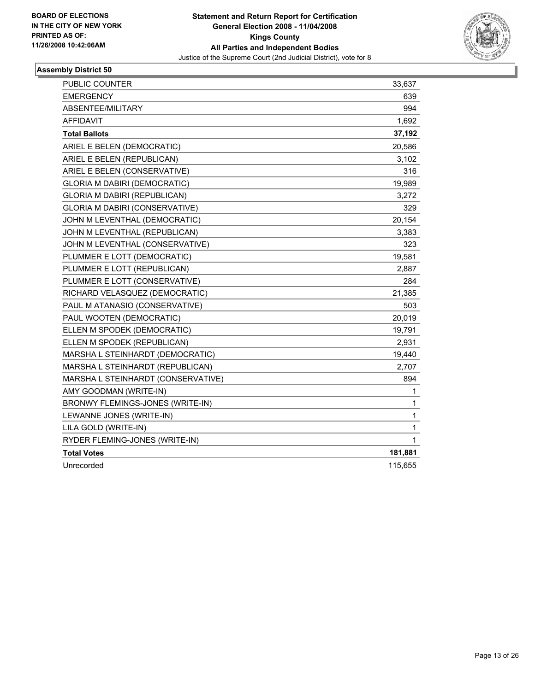

| PUBLIC COUNTER                        | 33,637  |
|---------------------------------------|---------|
| <b>EMERGENCY</b>                      | 639     |
| ABSENTEE/MILITARY                     | 994     |
| <b>AFFIDAVIT</b>                      | 1,692   |
| <b>Total Ballots</b>                  | 37,192  |
| ARIEL E BELEN (DEMOCRATIC)            | 20,586  |
| ARIEL E BELEN (REPUBLICAN)            | 3,102   |
| ARIEL E BELEN (CONSERVATIVE)          | 316     |
| GLORIA M DABIRI (DEMOCRATIC)          | 19,989  |
| <b>GLORIA M DABIRI (REPUBLICAN)</b>   | 3,272   |
| <b>GLORIA M DABIRI (CONSERVATIVE)</b> | 329     |
| JOHN M LEVENTHAL (DEMOCRATIC)         | 20,154  |
| JOHN M LEVENTHAL (REPUBLICAN)         | 3,383   |
| JOHN M LEVENTHAL (CONSERVATIVE)       | 323     |
| PLUMMER E LOTT (DEMOCRATIC)           | 19,581  |
| PLUMMER E LOTT (REPUBLICAN)           | 2,887   |
| PLUMMER E LOTT (CONSERVATIVE)         | 284     |
| RICHARD VELASQUEZ (DEMOCRATIC)        | 21,385  |
| PAUL M ATANASIO (CONSERVATIVE)        | 503     |
| PAUL WOOTEN (DEMOCRATIC)              | 20,019  |
| ELLEN M SPODEK (DEMOCRATIC)           | 19,791  |
| ELLEN M SPODEK (REPUBLICAN)           | 2,931   |
| MARSHA L STEINHARDT (DEMOCRATIC)      | 19,440  |
| MARSHA L STEINHARDT (REPUBLICAN)      | 2,707   |
| MARSHA L STEINHARDT (CONSERVATIVE)    | 894     |
| AMY GOODMAN (WRITE-IN)                | 1       |
| BRONWY FLEMINGS-JONES (WRITE-IN)      | 1       |
| LEWANNE JONES (WRITE-IN)              | 1       |
| LILA GOLD (WRITE-IN)                  | 1       |
| RYDER FLEMING-JONES (WRITE-IN)        | 1       |
| <b>Total Votes</b>                    | 181,881 |
| Unrecorded                            | 115,655 |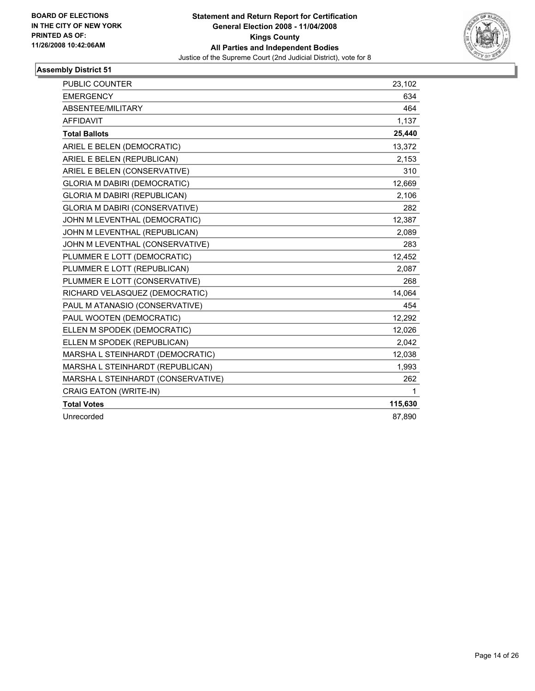

| <b>PUBLIC COUNTER</b>                 | 23,102  |
|---------------------------------------|---------|
| <b>EMERGENCY</b>                      | 634     |
| ABSENTEE/MILITARY                     | 464     |
| <b>AFFIDAVIT</b>                      | 1,137   |
| <b>Total Ballots</b>                  | 25,440  |
| ARIEL E BELEN (DEMOCRATIC)            | 13,372  |
| ARIEL E BELEN (REPUBLICAN)            | 2,153   |
| ARIEL E BELEN (CONSERVATIVE)          | 310     |
| <b>GLORIA M DABIRI (DEMOCRATIC)</b>   | 12,669  |
| <b>GLORIA M DABIRI (REPUBLICAN)</b>   | 2,106   |
| <b>GLORIA M DABIRI (CONSERVATIVE)</b> | 282     |
| JOHN M LEVENTHAL (DEMOCRATIC)         | 12,387  |
| JOHN M LEVENTHAL (REPUBLICAN)         | 2,089   |
| JOHN M LEVENTHAL (CONSERVATIVE)       | 283     |
| PLUMMER E LOTT (DEMOCRATIC)           | 12,452  |
| PLUMMER E LOTT (REPUBLICAN)           | 2,087   |
| PLUMMER E LOTT (CONSERVATIVE)         | 268     |
| RICHARD VELASQUEZ (DEMOCRATIC)        | 14,064  |
| PAUL M ATANASIO (CONSERVATIVE)        | 454     |
| PAUL WOOTEN (DEMOCRATIC)              | 12,292  |
| ELLEN M SPODEK (DEMOCRATIC)           | 12,026  |
| ELLEN M SPODEK (REPUBLICAN)           | 2,042   |
| MARSHA L STEINHARDT (DEMOCRATIC)      | 12,038  |
| MARSHA L STEINHARDT (REPUBLICAN)      | 1,993   |
| MARSHA L STEINHARDT (CONSERVATIVE)    | 262     |
| <b>CRAIG EATON (WRITE-IN)</b>         | 1       |
| <b>Total Votes</b>                    | 115,630 |
| Unrecorded                            | 87,890  |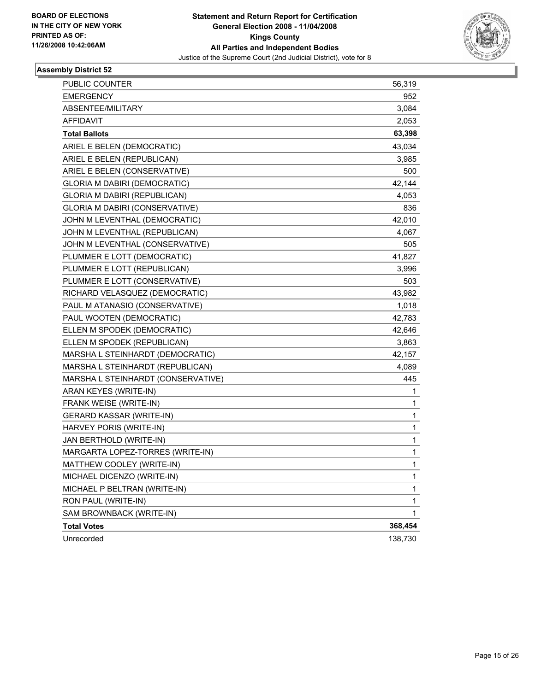

| PUBLIC COUNTER                      | 56,319  |
|-------------------------------------|---------|
| <b>EMERGENCY</b>                    | 952     |
| <b>ABSENTEE/MILITARY</b>            | 3,084   |
| <b>AFFIDAVIT</b>                    | 2,053   |
| <b>Total Ballots</b>                | 63,398  |
| ARIEL E BELEN (DEMOCRATIC)          | 43,034  |
| ARIEL E BELEN (REPUBLICAN)          | 3,985   |
| ARIEL E BELEN (CONSERVATIVE)        | 500     |
| <b>GLORIA M DABIRI (DEMOCRATIC)</b> | 42,144  |
| GLORIA M DABIRI (REPUBLICAN)        | 4,053   |
| GLORIA M DABIRI (CONSERVATIVE)      | 836     |
| JOHN M LEVENTHAL (DEMOCRATIC)       | 42,010  |
| JOHN M LEVENTHAL (REPUBLICAN)       | 4,067   |
| JOHN M LEVENTHAL (CONSERVATIVE)     | 505     |
| PLUMMER E LOTT (DEMOCRATIC)         | 41,827  |
| PLUMMER E LOTT (REPUBLICAN)         | 3,996   |
| PLUMMER E LOTT (CONSERVATIVE)       | 503     |
| RICHARD VELASQUEZ (DEMOCRATIC)      | 43,982  |
| PAUL M ATANASIO (CONSERVATIVE)      | 1,018   |
| PAUL WOOTEN (DEMOCRATIC)            | 42,783  |
| ELLEN M SPODEK (DEMOCRATIC)         | 42,646  |
| ELLEN M SPODEK (REPUBLICAN)         | 3,863   |
| MARSHA L STEINHARDT (DEMOCRATIC)    | 42,157  |
| MARSHA L STEINHARDT (REPUBLICAN)    | 4,089   |
| MARSHA L STEINHARDT (CONSERVATIVE)  | 445     |
| ARAN KEYES (WRITE-IN)               | 1       |
| FRANK WEISE (WRITE-IN)              | 1       |
| <b>GERARD KASSAR (WRITE-IN)</b>     | 1       |
| HARVEY PORIS (WRITE-IN)             | 1       |
| JAN BERTHOLD (WRITE-IN)             | 1       |
| MARGARTA LOPEZ-TORRES (WRITE-IN)    | 1       |
| MATTHEW COOLEY (WRITE-IN)           | 1       |
| MICHAEL DICENZO (WRITE-IN)          | 1       |
| MICHAEL P BELTRAN (WRITE-IN)        | 1       |
| RON PAUL (WRITE-IN)                 | 1       |
| SAM BROWNBACK (WRITE-IN)            | 1       |
| <b>Total Votes</b>                  | 368,454 |
| Unrecorded                          | 138,730 |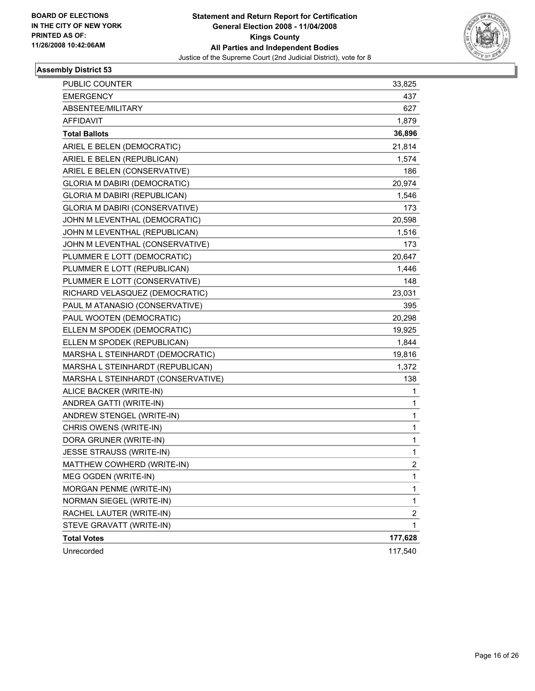

| PUBLIC COUNTER                        | 33,825                  |
|---------------------------------------|-------------------------|
| <b>EMERGENCY</b>                      | 437                     |
| ABSENTEE/MILITARY                     | 627                     |
| <b>AFFIDAVIT</b>                      | 1,879                   |
| <b>Total Ballots</b>                  | 36,896                  |
| ARIEL E BELEN (DEMOCRATIC)            | 21,814                  |
| ARIEL E BELEN (REPUBLICAN)            | 1,574                   |
| ARIEL E BELEN (CONSERVATIVE)          | 186                     |
| <b>GLORIA M DABIRI (DEMOCRATIC)</b>   | 20,974                  |
| <b>GLORIA M DABIRI (REPUBLICAN)</b>   | 1,546                   |
| <b>GLORIA M DABIRI (CONSERVATIVE)</b> | 173                     |
| JOHN M LEVENTHAL (DEMOCRATIC)         | 20,598                  |
| JOHN M LEVENTHAL (REPUBLICAN)         | 1,516                   |
| JOHN M LEVENTHAL (CONSERVATIVE)       | 173                     |
| PLUMMER E LOTT (DEMOCRATIC)           | 20,647                  |
| PLUMMER E LOTT (REPUBLICAN)           | 1,446                   |
| PLUMMER E LOTT (CONSERVATIVE)         | 148                     |
| RICHARD VELASQUEZ (DEMOCRATIC)        | 23,031                  |
| PAUL M ATANASIO (CONSERVATIVE)        | 395                     |
| PAUL WOOTEN (DEMOCRATIC)              | 20,298                  |
| ELLEN M SPODEK (DEMOCRATIC)           | 19,925                  |
| ELLEN M SPODEK (REPUBLICAN)           | 1,844                   |
| MARSHA L STEINHARDT (DEMOCRATIC)      | 19,816                  |
| MARSHA L STEINHARDT (REPUBLICAN)      | 1,372                   |
| MARSHA L STEINHARDT (CONSERVATIVE)    | 138                     |
| ALICE BACKER (WRITE-IN)               | 1                       |
| ANDREA GATTI (WRITE-IN)               | 1                       |
| ANDREW STENGEL (WRITE-IN)             | $\mathbf{1}$            |
| CHRIS OWENS (WRITE-IN)                | 1                       |
| DORA GRUNER (WRITE-IN)                | 1                       |
| JESSE STRAUSS (WRITE-IN)              | 1                       |
| MATTHEW COWHERD (WRITE-IN)            | $\overline{2}$          |
| MEG OGDEN (WRITE-IN)                  | 1                       |
| MORGAN PENME (WRITE-IN)               | 1                       |
| NORMAN SIEGEL (WRITE-IN)              | $\mathbf{1}$            |
| RACHEL LAUTER (WRITE-IN)              | $\overline{\mathbf{c}}$ |
| STEVE GRAVATT (WRITE-IN)              | 1                       |
| <b>Total Votes</b>                    | 177,628                 |
| Unrecorded                            | 117,540                 |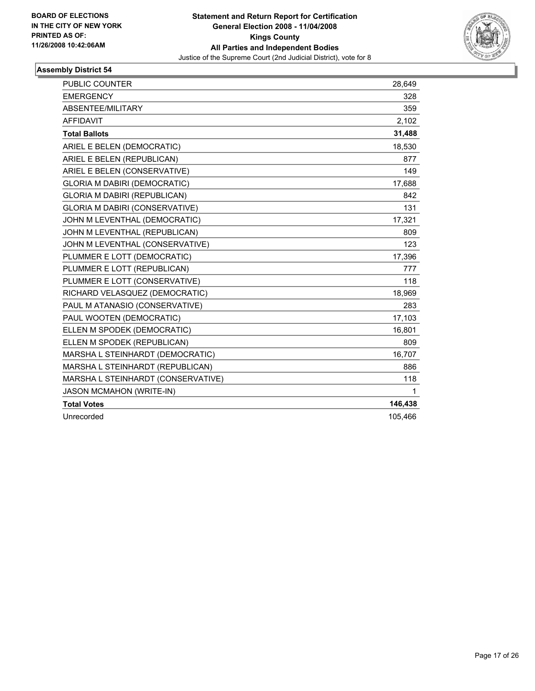

| <b>PUBLIC COUNTER</b>                 | 28,649  |
|---------------------------------------|---------|
| <b>EMERGENCY</b>                      | 328     |
| ABSENTEE/MILITARY                     | 359     |
| <b>AFFIDAVIT</b>                      | 2,102   |
| <b>Total Ballots</b>                  | 31,488  |
| ARIEL E BELEN (DEMOCRATIC)            | 18,530  |
| ARIEL E BELEN (REPUBLICAN)            | 877     |
| ARIEL E BELEN (CONSERVATIVE)          | 149     |
| <b>GLORIA M DABIRI (DEMOCRATIC)</b>   | 17,688  |
| GLORIA M DABIRI (REPUBLICAN)          | 842     |
| <b>GLORIA M DABIRI (CONSERVATIVE)</b> | 131     |
| JOHN M LEVENTHAL (DEMOCRATIC)         | 17,321  |
| JOHN M LEVENTHAL (REPUBLICAN)         | 809     |
| JOHN M LEVENTHAL (CONSERVATIVE)       | 123     |
| PLUMMER E LOTT (DEMOCRATIC)           | 17,396  |
| PLUMMER E LOTT (REPUBLICAN)           | 777     |
| PLUMMER E LOTT (CONSERVATIVE)         | 118     |
| RICHARD VELASQUEZ (DEMOCRATIC)        | 18,969  |
| PAUL M ATANASIO (CONSERVATIVE)        | 283     |
| PAUL WOOTEN (DEMOCRATIC)              | 17,103  |
| ELLEN M SPODEK (DEMOCRATIC)           | 16,801  |
| ELLEN M SPODEK (REPUBLICAN)           | 809     |
| MARSHA L STEINHARDT (DEMOCRATIC)      | 16,707  |
| MARSHA L STEINHARDT (REPUBLICAN)      | 886     |
| MARSHA L STEINHARDT (CONSERVATIVE)    | 118     |
| <b>JASON MCMAHON (WRITE-IN)</b>       | 1       |
| <b>Total Votes</b>                    | 146,438 |
| Unrecorded                            | 105,466 |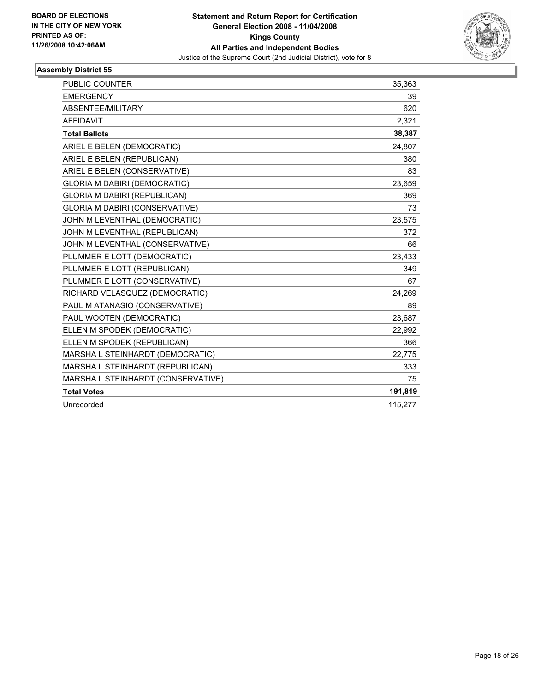

| <b>PUBLIC COUNTER</b>                 | 35,363  |
|---------------------------------------|---------|
| <b>EMERGENCY</b>                      | 39      |
| ABSENTEE/MILITARY                     | 620     |
| <b>AFFIDAVIT</b>                      | 2,321   |
| <b>Total Ballots</b>                  | 38,387  |
| ARIEL E BELEN (DEMOCRATIC)            | 24,807  |
| ARIEL E BELEN (REPUBLICAN)            | 380     |
| ARIEL E BELEN (CONSERVATIVE)          | 83      |
| <b>GLORIA M DABIRI (DEMOCRATIC)</b>   | 23,659  |
| <b>GLORIA M DABIRI (REPUBLICAN)</b>   | 369     |
| <b>GLORIA M DABIRI (CONSERVATIVE)</b> | 73      |
| JOHN M LEVENTHAL (DEMOCRATIC)         | 23,575  |
| JOHN M LEVENTHAL (REPUBLICAN)         | 372     |
| JOHN M LEVENTHAL (CONSERVATIVE)       | 66      |
| PLUMMER E LOTT (DEMOCRATIC)           | 23,433  |
| PLUMMER E LOTT (REPUBLICAN)           | 349     |
| PLUMMER E LOTT (CONSERVATIVE)         | 67      |
| RICHARD VELASQUEZ (DEMOCRATIC)        | 24,269  |
| PAUL M ATANASIO (CONSERVATIVE)        | 89      |
| PAUL WOOTEN (DEMOCRATIC)              | 23,687  |
| ELLEN M SPODEK (DEMOCRATIC)           | 22,992  |
| ELLEN M SPODEK (REPUBLICAN)           | 366     |
| MARSHA L STEINHARDT (DEMOCRATIC)      | 22,775  |
| MARSHA L STEINHARDT (REPUBLICAN)      | 333     |
| MARSHA L STEINHARDT (CONSERVATIVE)    | 75      |
| <b>Total Votes</b>                    | 191,819 |
| Unrecorded                            | 115,277 |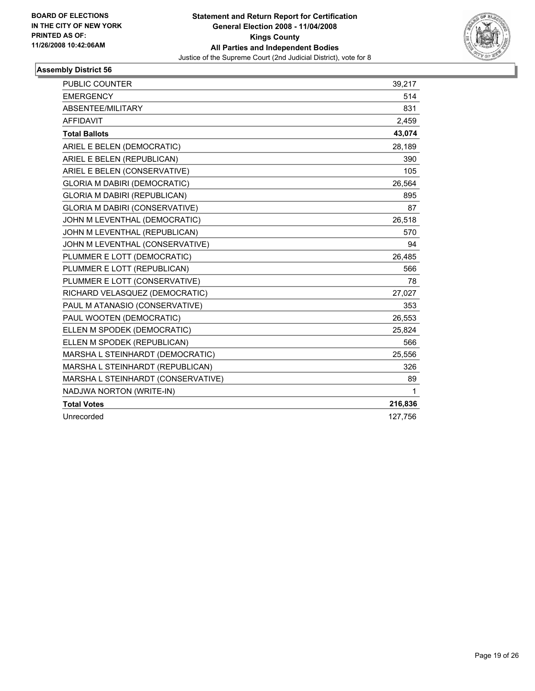

| <b>PUBLIC COUNTER</b>                 | 39,217  |
|---------------------------------------|---------|
| <b>EMERGENCY</b>                      | 514     |
| ABSENTEE/MILITARY                     | 831     |
| <b>AFFIDAVIT</b>                      | 2,459   |
| <b>Total Ballots</b>                  | 43,074  |
| ARIEL E BELEN (DEMOCRATIC)            | 28,189  |
| ARIEL E BELEN (REPUBLICAN)            | 390     |
| ARIEL E BELEN (CONSERVATIVE)          | 105     |
| <b>GLORIA M DABIRI (DEMOCRATIC)</b>   | 26,564  |
| <b>GLORIA M DABIRI (REPUBLICAN)</b>   | 895     |
| <b>GLORIA M DABIRI (CONSERVATIVE)</b> | 87      |
| JOHN M LEVENTHAL (DEMOCRATIC)         | 26,518  |
| JOHN M LEVENTHAL (REPUBLICAN)         | 570     |
| JOHN M LEVENTHAL (CONSERVATIVE)       | 94      |
| PLUMMER E LOTT (DEMOCRATIC)           | 26,485  |
| PLUMMER E LOTT (REPUBLICAN)           | 566     |
| PLUMMER E LOTT (CONSERVATIVE)         | 78      |
| RICHARD VELASQUEZ (DEMOCRATIC)        | 27,027  |
| PAUL M ATANASIO (CONSERVATIVE)        | 353     |
| PAUL WOOTEN (DEMOCRATIC)              | 26,553  |
| ELLEN M SPODEK (DEMOCRATIC)           | 25,824  |
| ELLEN M SPODEK (REPUBLICAN)           | 566     |
| MARSHA L STEINHARDT (DEMOCRATIC)      | 25,556  |
| MARSHA L STEINHARDT (REPUBLICAN)      | 326     |
| MARSHA L STEINHARDT (CONSERVATIVE)    | 89      |
| NADJWA NORTON (WRITE-IN)              | 1       |
| <b>Total Votes</b>                    | 216,836 |
| Unrecorded                            | 127,756 |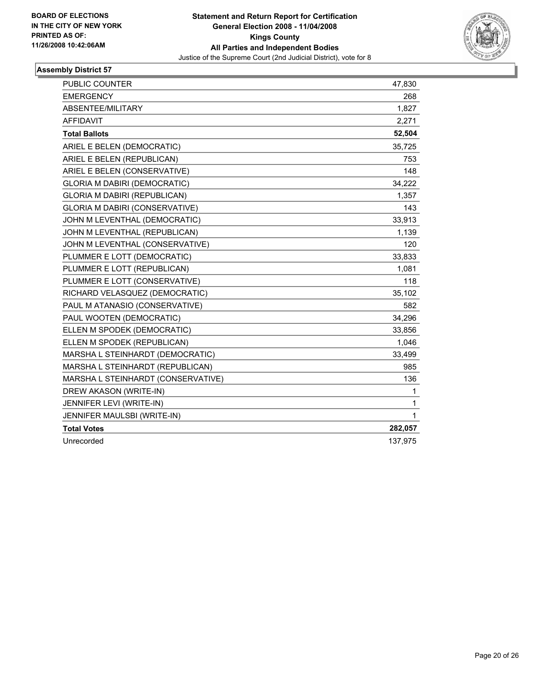

| <b>PUBLIC COUNTER</b>                 | 47,830  |
|---------------------------------------|---------|
| <b>EMERGENCY</b>                      | 268     |
| ABSENTEE/MILITARY                     | 1,827   |
| <b>AFFIDAVIT</b>                      | 2,271   |
| <b>Total Ballots</b>                  | 52,504  |
| ARIEL E BELEN (DEMOCRATIC)            | 35,725  |
| ARIEL E BELEN (REPUBLICAN)            | 753     |
| ARIEL E BELEN (CONSERVATIVE)          | 148     |
| <b>GLORIA M DABIRI (DEMOCRATIC)</b>   | 34,222  |
| GLORIA M DABIRI (REPUBLICAN)          | 1,357   |
| <b>GLORIA M DABIRI (CONSERVATIVE)</b> | 143     |
| JOHN M LEVENTHAL (DEMOCRATIC)         | 33,913  |
| JOHN M LEVENTHAL (REPUBLICAN)         | 1,139   |
| JOHN M LEVENTHAL (CONSERVATIVE)       | 120     |
| PLUMMER E LOTT (DEMOCRATIC)           | 33,833  |
| PLUMMER E LOTT (REPUBLICAN)           | 1,081   |
| PLUMMER E LOTT (CONSERVATIVE)         | 118     |
| RICHARD VELASQUEZ (DEMOCRATIC)        | 35,102  |
| PAUL M ATANASIO (CONSERVATIVE)        | 582     |
| PAUL WOOTEN (DEMOCRATIC)              | 34,296  |
| ELLEN M SPODEK (DEMOCRATIC)           | 33,856  |
| ELLEN M SPODEK (REPUBLICAN)           | 1,046   |
| MARSHA L STEINHARDT (DEMOCRATIC)      | 33,499  |
| MARSHA L STEINHARDT (REPUBLICAN)      | 985     |
| MARSHA L STEINHARDT (CONSERVATIVE)    | 136     |
| DREW AKASON (WRITE-IN)                | 1       |
| JENNIFER LEVI (WRITE-IN)              | 1       |
| JENNIFER MAULSBI (WRITE-IN)           | 1       |
| <b>Total Votes</b>                    | 282,057 |
| Unrecorded                            | 137,975 |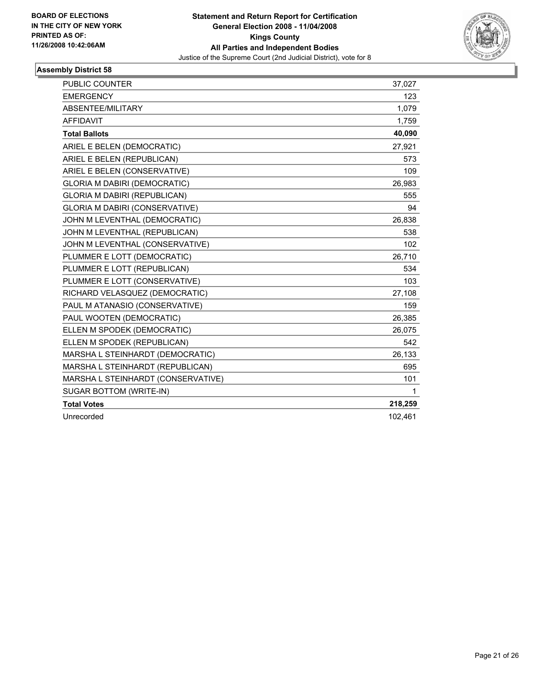

| <b>PUBLIC COUNTER</b>                 | 37,027  |
|---------------------------------------|---------|
| <b>EMERGENCY</b>                      | 123     |
| ABSENTEE/MILITARY                     | 1,079   |
| <b>AFFIDAVIT</b>                      | 1,759   |
| <b>Total Ballots</b>                  | 40,090  |
| ARIEL E BELEN (DEMOCRATIC)            | 27,921  |
| ARIEL E BELEN (REPUBLICAN)            | 573     |
| ARIEL E BELEN (CONSERVATIVE)          | 109     |
| <b>GLORIA M DABIRI (DEMOCRATIC)</b>   | 26,983  |
| <b>GLORIA M DABIRI (REPUBLICAN)</b>   | 555     |
| <b>GLORIA M DABIRI (CONSERVATIVE)</b> | 94      |
| JOHN M LEVENTHAL (DEMOCRATIC)         | 26,838  |
| JOHN M LEVENTHAL (REPUBLICAN)         | 538     |
| JOHN M LEVENTHAL (CONSERVATIVE)       | 102     |
| PLUMMER E LOTT (DEMOCRATIC)           | 26,710  |
| PLUMMER E LOTT (REPUBLICAN)           | 534     |
| PLUMMER E LOTT (CONSERVATIVE)         | 103     |
| RICHARD VELASQUEZ (DEMOCRATIC)        | 27,108  |
| PAUL M ATANASIO (CONSERVATIVE)        | 159     |
| PAUL WOOTEN (DEMOCRATIC)              | 26,385  |
| ELLEN M SPODEK (DEMOCRATIC)           | 26,075  |
| ELLEN M SPODEK (REPUBLICAN)           | 542     |
| MARSHA L STEINHARDT (DEMOCRATIC)      | 26,133  |
| MARSHA L STEINHARDT (REPUBLICAN)      | 695     |
| MARSHA L STEINHARDT (CONSERVATIVE)    | 101     |
| SUGAR BOTTOM (WRITE-IN)               | 1       |
| <b>Total Votes</b>                    | 218,259 |
| Unrecorded                            | 102,461 |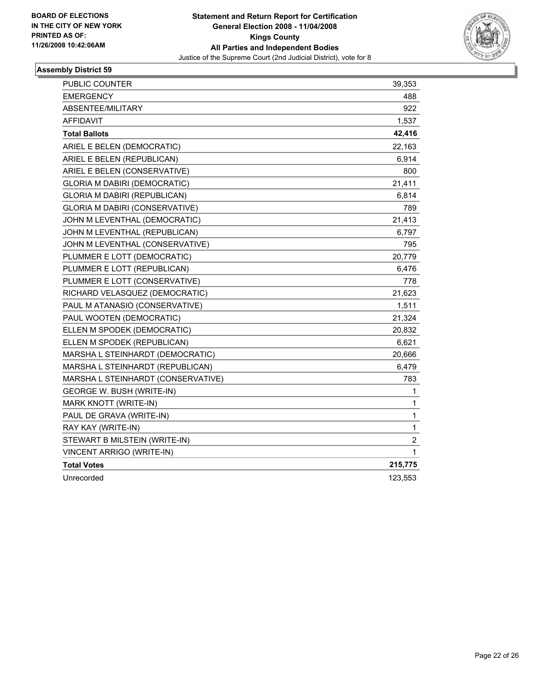

| <b>PUBLIC COUNTER</b>                 | 39,353           |
|---------------------------------------|------------------|
| <b>EMERGENCY</b>                      | 488              |
| ABSENTEE/MILITARY                     | 922              |
| AFFIDAVIT                             | 1,537            |
| <b>Total Ballots</b>                  | 42,416           |
| ARIEL E BELEN (DEMOCRATIC)            | 22,163           |
| ARIEL E BELEN (REPUBLICAN)            | 6,914            |
| ARIEL E BELEN (CONSERVATIVE)          | 800              |
| <b>GLORIA M DABIRI (DEMOCRATIC)</b>   | 21,411           |
| <b>GLORIA M DABIRI (REPUBLICAN)</b>   | 6,814            |
| <b>GLORIA M DABIRI (CONSERVATIVE)</b> | 789              |
| JOHN M LEVENTHAL (DEMOCRATIC)         | 21,413           |
| JOHN M LEVENTHAL (REPUBLICAN)         | 6,797            |
| JOHN M LEVENTHAL (CONSERVATIVE)       | 795              |
| PLUMMER E LOTT (DEMOCRATIC)           | 20,779           |
| PLUMMER E LOTT (REPUBLICAN)           | 6,476            |
| PLUMMER E LOTT (CONSERVATIVE)         | 778              |
| RICHARD VELASQUEZ (DEMOCRATIC)        | 21,623           |
| PAUL M ATANASIO (CONSERVATIVE)        | 1,511            |
| PAUL WOOTEN (DEMOCRATIC)              | 21,324           |
| ELLEN M SPODEK (DEMOCRATIC)           | 20,832           |
| ELLEN M SPODEK (REPUBLICAN)           | 6,621            |
| MARSHA L STEINHARDT (DEMOCRATIC)      | 20,666           |
| MARSHA L STEINHARDT (REPUBLICAN)      | 6,479            |
| MARSHA L STEINHARDT (CONSERVATIVE)    | 783              |
| <b>GEORGE W. BUSH (WRITE-IN)</b>      | 1                |
| MARK KNOTT (WRITE-IN)                 | 1                |
| PAUL DE GRAVA (WRITE-IN)              | 1                |
| RAY KAY (WRITE-IN)                    | $\mathbf{1}$     |
| STEWART B MILSTEIN (WRITE-IN)         | $\boldsymbol{2}$ |
| <b>VINCENT ARRIGO (WRITE-IN)</b>      | 1                |
| <b>Total Votes</b>                    | 215,775          |
| Unrecorded                            | 123,553          |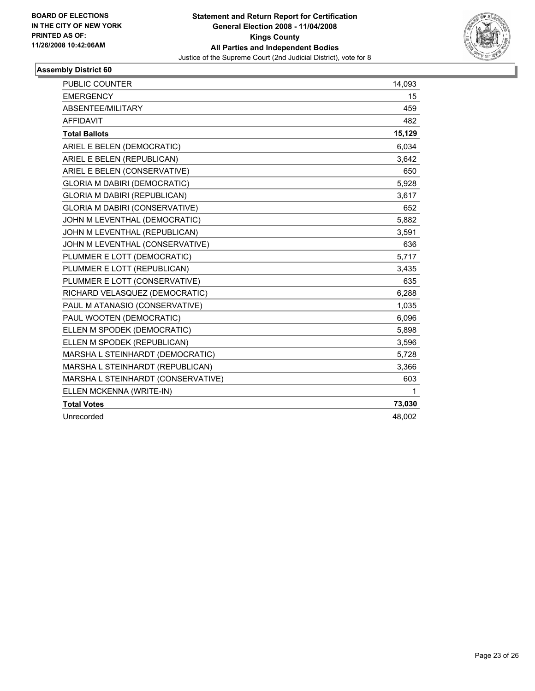

| <b>PUBLIC COUNTER</b>                 | 14,093 |
|---------------------------------------|--------|
| <b>EMERGENCY</b>                      | 15     |
| ABSENTEE/MILITARY                     | 459    |
| <b>AFFIDAVIT</b>                      | 482    |
| <b>Total Ballots</b>                  | 15,129 |
| ARIEL E BELEN (DEMOCRATIC)            | 6,034  |
| ARIEL E BELEN (REPUBLICAN)            | 3,642  |
| ARIEL E BELEN (CONSERVATIVE)          | 650    |
| <b>GLORIA M DABIRI (DEMOCRATIC)</b>   | 5,928  |
| GLORIA M DABIRI (REPUBLICAN)          | 3,617  |
| <b>GLORIA M DABIRI (CONSERVATIVE)</b> | 652    |
| JOHN M LEVENTHAL (DEMOCRATIC)         | 5,882  |
| JOHN M LEVENTHAL (REPUBLICAN)         | 3,591  |
| JOHN M LEVENTHAL (CONSERVATIVE)       | 636    |
| PLUMMER E LOTT (DEMOCRATIC)           | 5,717  |
| PLUMMER E LOTT (REPUBLICAN)           | 3,435  |
| PLUMMER E LOTT (CONSERVATIVE)         | 635    |
| RICHARD VELASQUEZ (DEMOCRATIC)        | 6,288  |
| PAUL M ATANASIO (CONSERVATIVE)        | 1,035  |
| PAUL WOOTEN (DEMOCRATIC)              | 6,096  |
| ELLEN M SPODEK (DEMOCRATIC)           | 5,898  |
| ELLEN M SPODEK (REPUBLICAN)           | 3,596  |
| MARSHA L STEINHARDT (DEMOCRATIC)      | 5,728  |
| MARSHA L STEINHARDT (REPUBLICAN)      | 3,366  |
| MARSHA L STEINHARDT (CONSERVATIVE)    | 603    |
| ELLEN MCKENNA (WRITE-IN)              | 1      |
| <b>Total Votes</b>                    | 73,030 |
| Unrecorded                            | 48,002 |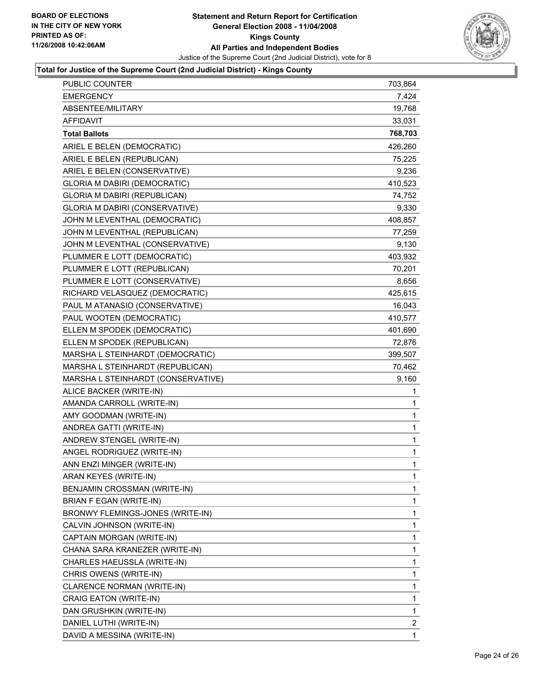

#### **Total for Justice of the Supreme Court (2nd Judicial District) - Kings County**

| <b>PUBLIC COUNTER</b>               | 703,864     |
|-------------------------------------|-------------|
| <b>EMERGENCY</b>                    | 7,424       |
| ABSENTEE/MILITARY                   | 19,768      |
| <b>AFFIDAVIT</b>                    | 33,031      |
| <b>Total Ballots</b>                | 768,703     |
| ARIEL E BELEN (DEMOCRATIC)          | 426,260     |
| ARIEL E BELEN (REPUBLICAN)          | 75,225      |
| ARIEL E BELEN (CONSERVATIVE)        | 9,236       |
| <b>GLORIA M DABIRI (DEMOCRATIC)</b> | 410,523     |
| <b>GLORIA M DABIRI (REPUBLICAN)</b> | 74,752      |
| GLORIA M DABIRI (CONSERVATIVE)      | 9,330       |
| JOHN M LEVENTHAL (DEMOCRATIC)       | 408,857     |
| JOHN M LEVENTHAL (REPUBLICAN)       | 77,259      |
| JOHN M LEVENTHAL (CONSERVATIVE)     | 9,130       |
| PLUMMER E LOTT (DEMOCRATIC)         | 403,932     |
| PLUMMER E LOTT (REPUBLICAN)         | 70,201      |
| PLUMMER E LOTT (CONSERVATIVE)       | 8,656       |
| RICHARD VELASQUEZ (DEMOCRATIC)      | 425,615     |
| PAUL M ATANASIO (CONSERVATIVE)      | 16,043      |
| PAUL WOOTEN (DEMOCRATIC)            | 410,577     |
| ELLEN M SPODEK (DEMOCRATIC)         | 401,690     |
| ELLEN M SPODEK (REPUBLICAN)         | 72,876      |
| MARSHA L STEINHARDT (DEMOCRATIC)    | 399,507     |
| MARSHA L STEINHARDT (REPUBLICAN)    | 70,462      |
|                                     |             |
| MARSHA L STEINHARDT (CONSERVATIVE)  | 9,160       |
| ALICE BACKER (WRITE-IN)             | 1           |
| AMANDA CARROLL (WRITE-IN)           | 1           |
| AMY GOODMAN (WRITE-IN)              | 1           |
| ANDREA GATTI (WRITE-IN)             | 1           |
| ANDREW STENGEL (WRITE-IN)           | $\mathbf 1$ |
| ANGEL RODRIGUEZ (WRITE-IN)          | 1           |
| ANN ENZI MINGER (WRITE-IN)          | 1           |
| ARAN KEYES (WRITE-IN)               | 1           |
| BENJAMIN CROSSMAN (WRITE-IN)        | 1           |
| BRIAN F EGAN (WRITE-IN)             | 1           |
| BRONWY FLEMINGS-JONES (WRITE-IN)    | 1           |
| CALVIN JOHNSON (WRITE-IN)           | 1           |
| CAPTAIN MORGAN (WRITE-IN)           | 1           |
| CHANA SARA KRANEZER (WRITE-IN)      | 1           |
| CHARLES HAEUSSLA (WRITE-IN)         | 1           |
| CHRIS OWENS (WRITE-IN)              | 1           |
| CLARENCE NORMAN (WRITE-IN)          | 1           |
| CRAIG EATON (WRITE-IN)              | 1           |
| DAN GRUSHKIN (WRITE-IN)             | 1           |
| DANIEL LUTHI (WRITE-IN)             | 2           |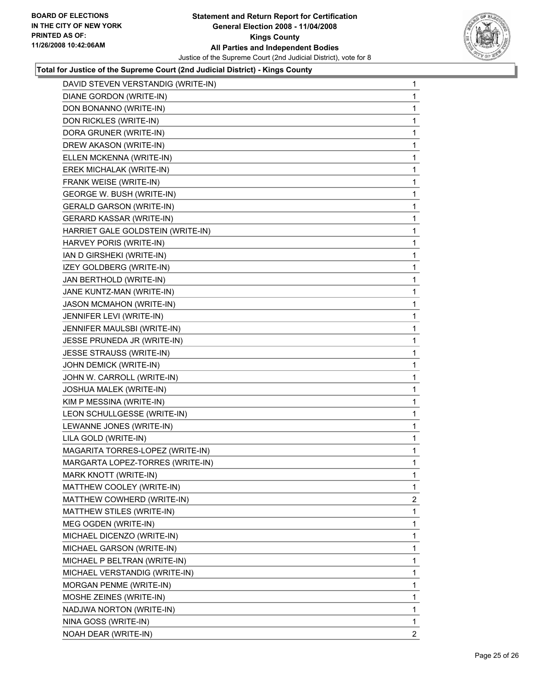

### **Total for Justice of the Supreme Court (2nd Judicial District) - Kings County**

| DAVID STEVEN VERSTANDIG (WRITE-IN) | $\mathbf 1$             |
|------------------------------------|-------------------------|
| DIANE GORDON (WRITE-IN)            | 1                       |
| DON BONANNO (WRITE-IN)             | 1                       |
| DON RICKLES (WRITE-IN)             | 1                       |
| DORA GRUNER (WRITE-IN)             | 1                       |
| DREW AKASON (WRITE-IN)             | 1                       |
| ELLEN MCKENNA (WRITE-IN)           | 1                       |
| EREK MICHALAK (WRITE-IN)           | 1                       |
| FRANK WEISE (WRITE-IN)             | 1                       |
| GEORGE W. BUSH (WRITE-IN)          | 1                       |
| <b>GERALD GARSON (WRITE-IN)</b>    | 1                       |
| <b>GERARD KASSAR (WRITE-IN)</b>    | 1                       |
| HARRIET GALE GOLDSTEIN (WRITE-IN)  | 1                       |
| HARVEY PORIS (WRITE-IN)            | 1                       |
| IAN D GIRSHEKI (WRITE-IN)          | 1                       |
| IZEY GOLDBERG (WRITE-IN)           | 1                       |
| JAN BERTHOLD (WRITE-IN)            | 1                       |
| JANE KUNTZ-MAN (WRITE-IN)          | 1                       |
| <b>JASON MCMAHON (WRITE-IN)</b>    | 1                       |
| JENNIFER LEVI (WRITE-IN)           | 1                       |
| JENNIFER MAULSBI (WRITE-IN)        | 1                       |
| JESSE PRUNEDA JR (WRITE-IN)        | 1                       |
| JESSE STRAUSS (WRITE-IN)           | 1                       |
| JOHN DEMICK (WRITE-IN)             | 1                       |
| JOHN W. CARROLL (WRITE-IN)         | 1                       |
| JOSHUA MALEK (WRITE-IN)            | 1                       |
| KIM P MESSINA (WRITE-IN)           | 1                       |
| LEON SCHULLGESSE (WRITE-IN)        | 1                       |
| LEWANNE JONES (WRITE-IN)           | 1                       |
| LILA GOLD (WRITE-IN)               | 1                       |
| MAGARITA TORRES-LOPEZ (WRITE-IN)   | 1                       |
| MARGARTA LOPEZ-TORRES (WRITE-IN)   | 1                       |
| MARK KNOTT (WRITE-IN)              | 1                       |
|                                    |                         |
| MATTHEW COOLEY (WRITE-IN)          | 1                       |
| MATTHEW COWHERD (WRITE-IN)         | $\overline{\mathbf{c}}$ |
| MATTHEW STILES (WRITE-IN)          | 1                       |
| MEG OGDEN (WRITE-IN)               | 1                       |
| MICHAEL DICENZO (WRITE-IN)         | 1                       |
| MICHAEL GARSON (WRITE-IN)          | 1                       |
| MICHAEL P BELTRAN (WRITE-IN)       | 1                       |
| MICHAEL VERSTANDIG (WRITE-IN)      | 1                       |
| MORGAN PENME (WRITE-IN)            | 1                       |
| MOSHE ZEINES (WRITE-IN)            | 1                       |
| NADJWA NORTON (WRITE-IN)           | 1                       |
| NINA GOSS (WRITE-IN)               | $\mathbf 1$             |